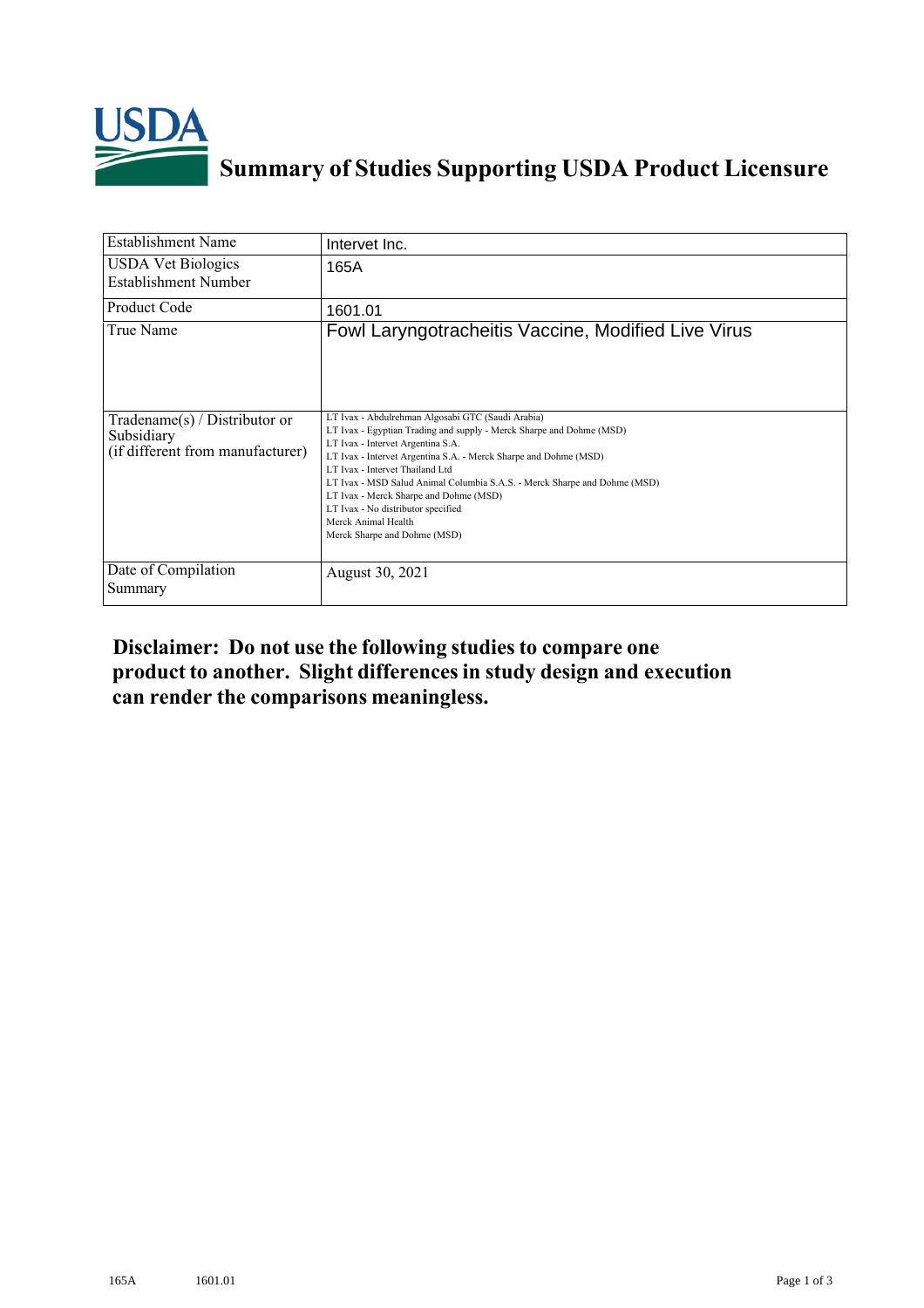

## **Summary of Studies Supporting USDA Product Licensure**

| <b>Establishment Name</b>                                                       | Intervet Inc.                                                                                                                                                                                                                                                                                                                                                                                                                                                                             |
|---------------------------------------------------------------------------------|-------------------------------------------------------------------------------------------------------------------------------------------------------------------------------------------------------------------------------------------------------------------------------------------------------------------------------------------------------------------------------------------------------------------------------------------------------------------------------------------|
| <b>USDA Vet Biologics</b><br><b>Establishment Number</b>                        | 165A                                                                                                                                                                                                                                                                                                                                                                                                                                                                                      |
| <b>Product Code</b>                                                             | 1601.01                                                                                                                                                                                                                                                                                                                                                                                                                                                                                   |
| True Name                                                                       | Fowl Laryngotracheitis Vaccine, Modified Live Virus                                                                                                                                                                                                                                                                                                                                                                                                                                       |
| Tradename(s) / Distributor or<br>Subsidiary<br>(if different from manufacturer) | LT Ivax - Abdulrehman Algosabi GTC (Saudi Arabia)<br>LT Ivax - Egyptian Trading and supply - Merck Sharpe and Dohme (MSD)<br>LT Ivax - Intervet Argentina S.A.<br>LT Ivax - Intervet Argentina S.A. - Merck Sharpe and Dohme (MSD)<br>LT Ivax - Intervet Thailand Ltd<br>LT Ivax - MSD Salud Animal Columbia S.A.S. - Merck Sharpe and Dohme (MSD)<br>LT Ivax - Merck Sharpe and Dohme (MSD)<br>LT Ivax - No distributor specified<br>Merck Animal Health<br>Merck Sharpe and Dohme (MSD) |
| Date of Compilation<br>Summary                                                  | August 30, 2021                                                                                                                                                                                                                                                                                                                                                                                                                                                                           |

## **Disclaimer: Do not use the following studiesto compare one product to another. Slight differencesin study design and execution can render the comparisons meaningless.**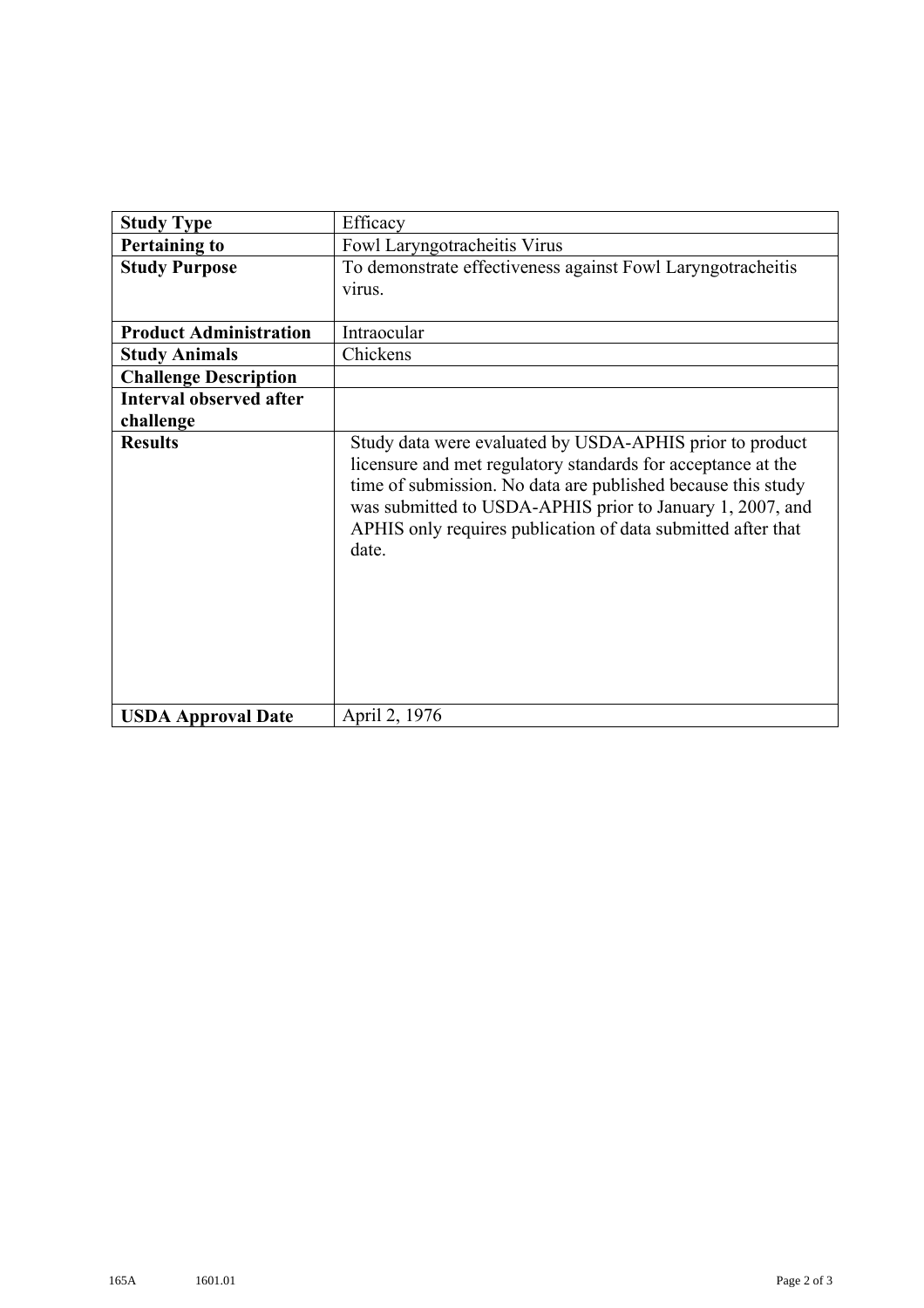| <b>Study Type</b>              | Efficacy                                                                                                                                                                                                                                                                                                                       |
|--------------------------------|--------------------------------------------------------------------------------------------------------------------------------------------------------------------------------------------------------------------------------------------------------------------------------------------------------------------------------|
| <b>Pertaining to</b>           | Fowl Laryngotracheitis Virus                                                                                                                                                                                                                                                                                                   |
| <b>Study Purpose</b>           | To demonstrate effectiveness against Fowl Laryngotracheitis                                                                                                                                                                                                                                                                    |
|                                | virus.                                                                                                                                                                                                                                                                                                                         |
|                                |                                                                                                                                                                                                                                                                                                                                |
| <b>Product Administration</b>  | Intraocular                                                                                                                                                                                                                                                                                                                    |
| <b>Study Animals</b>           | Chickens                                                                                                                                                                                                                                                                                                                       |
| <b>Challenge Description</b>   |                                                                                                                                                                                                                                                                                                                                |
| <b>Interval observed after</b> |                                                                                                                                                                                                                                                                                                                                |
| challenge                      |                                                                                                                                                                                                                                                                                                                                |
| <b>Results</b>                 | Study data were evaluated by USDA-APHIS prior to product<br>licensure and met regulatory standards for acceptance at the<br>time of submission. No data are published because this study<br>was submitted to USDA-APHIS prior to January 1, 2007, and<br>APHIS only requires publication of data submitted after that<br>date. |
| <b>USDA Approval Date</b>      | April 2, 1976                                                                                                                                                                                                                                                                                                                  |